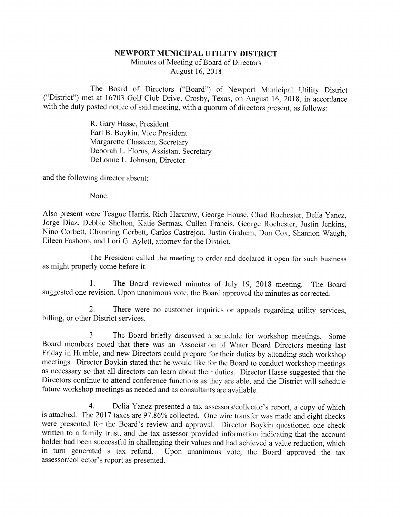## NEWPORT MUNICIPAL UTILITY DISTRICT

Minutes of Meeting of Board of Directors August 16, 2018

The Board of Directors ("Board") of Newport Municipal Utility District<br>("District") met at 16703 Golf Club Drive, Crosby, Texas, on August 16, 2018, in accordance<br>with the duly posted notice of said meeting, with a quorum

R. Gary Hasse, President Earl B. Boykin, Vice President Margarette Chasteen, Secretary Deborah L. Florus, Assistant Secretary DeLonne L. Johnson, Director

and the following director absent:

None.

Also present were Teague Harris, Rich Harcrow, George House, Chad Rochester, Delia Yanez, Jorge Diaz, Debbie Shelton, Katie Sermas, Cullen Francis, George Rochester, Justin Jenkins, Nino Corbett, Channing Corbett, Carlos C

The President called the meeting to order and declared it open for such business as might properly come before it.

1. The Board reviewed minutes of July 19, 2018 meeting. The Board suggested one revision. Upon unanimous vote, the Board approved the minutes as corrected.

2. There were no customer inquiries or appeals regarding utility services, billing, or other District services.

3. The Board briefly discussed a schedule for workshop meetings. Some Board members noted that there was an Association of Water Board Directors meeting last meetings. Director Boykin stated that he would like for the Board to conduct workshop meetings<br>as necessary so that all directors can learn about their duties. Director Hasse suggested that the<br>Directors continue to attend

4. Delia Yanez presented a tax assessors/collector's report, a copy of which<br>is attached. The 2017 taxes are 97.86% collected. One wire transfer was made and eight checks<br>were presented for the Board's review and approval. written to a family trust, and the tax assessor provided information indicating that the account holder had been successful in challenging their values and had achieved a value reduction, which in turn generated a tax refund. Upon unanimous vote, the Board approved the tax assessor/collector's report as presented.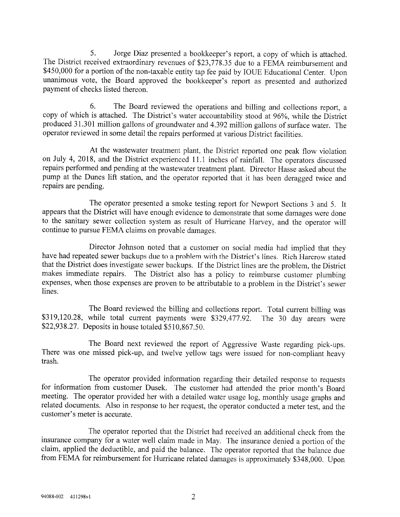5. Jorge Diaz presented a bookkeeper's report, a copy of which is attached.<br>The District received extraordinary revenues of \$23,778.35 due to a FEMA reimbursement and \$450,000 for a portion of the non-taxable entity tap fe unanimous vote, the Board approved the bookkeeper's report as presented and authorized payment of checks listed thereon.

6. The Board reviewed the operations and billing and collections report, a copy of which is attached. The District's water accountability stood at 96%, while the District produced 31.301 million gallons of groundwater and 4.392 million gallons of surface water. The operator reviewed in some detail the repairs performed at various District facilities.

At the wastewater treatment plant, the District reported one peak flow violation on July 4, 2018, and the District experienced 11.1 inches of rainfall. The operators discussed repairs performed and pending at the wastewater treatment plant. Director Hasse asked about the pump at the Dunes lift station, and the operator reported that it has been deragged twice and repairs are pending.

The operator presented a smoke testing report for Newport Sections 3 and 5. It appears that the District will have enough evidence to demonstrate that some damages were done to the sanitary sewer collection system as result of Hurricane Harvey, and the operator will continue to pursue FEMA claims on provable damages.

Director Johnson noted that a customer on social media had implied that they have had repeated sewer backups due to a problem with the District's lines. Rich Harcrow stated that the District does investigate sewer backups. If the District lines are the problem, the District makes immediate repairs. The District also has a policy to reimburse customer plumbing expenses, when those expenses are proven to be attributable to a problem in the District's sewer lines.

The Board reviewed the billing and collections report. Total current billing was \$319,120.28, while total current payments were \$229,477.92. The 30 day arears were \$22,938.27. Deposits in house totaled \$510,867.50.

The Board next reviewed the report of Aggressive Waste regarding pick-ups. There was one missed pick-up, and twelve yellow tags were issued for non-compliant heavy trash.

The operator provided information regarding their detailed response to requests for information from customer Dusek. The customer had attended the prior month's Board meeting. The operator provided her with a detailed water usage log, monthly usage graphs and related documents. Also in response to her request, the operator conducted a meter test, and the customer's meter is accurate.

The operator reported that the District had received an additional check from the insurance company for a water well claim made in May. The insurance denied a portion of the claim, applied the deductible, and paid the balance. The operator reported that the balance due from FEMA for reimbursement for Hurricane related damages is approximately \$348,000. Upon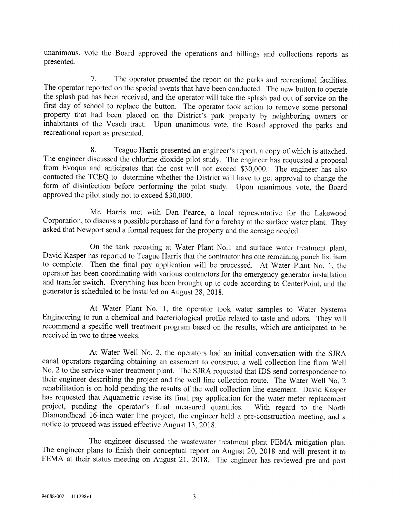unanimous, vote the Board approved the operations and billings and collections reports as presented.

7. The operator presented the report on the parks and recreational facilities. The operator reported on the special events that have been conducted. The new button to operate the splash pad has been received, and the operator will take the splash pad out of service on the first day of school to replace the button. The operator took action to remove some personal property that had been placed on the District's park property by neighboring owners or inhabitants of the Veach tract. Upon unanimous vote, the Board approved the parks and recreational report as presented.

8. Teague Harris presented an engineer's report, a copy of which is attached.<br>The engineer discussed the chlorine dioxide pilot study. The engineer has requested a proposal from Evoqua and anticipates that the cost will not exceed  $$30,000$ . The engineer has also contacted the TCEQ to determine whether the District will have to get approval to change the form of disinfection before performing the pilot study. Upon unanimous vote, the Board approved the pilot study not to exceed \$30,000.

Mr. Harris met with Dan Pearce, a local representative for the Lakewood Corporation, to discuss a possible purchase of land for a forebay at the surface water plant. They asked that Newport send a formal request for the property and the acreage needed.

On the tank recoating at Water Plant No. 1 and surface water treatment plant, David Kasper has reported to Teague Harris that the contractor has one remaining punch list item<br>to complete. Then the final pay application will be processed. At Water Plant No. 1, the operator has been coordinating with various contractors for the emergency generator installation<br>and transfer switch. Everything has been brought up to code according to CenterPoint, and the generator is scheduled to be installed on August 28, 2018.

At Water Plant No. 1, the operator took water samples to Water Systems Engineering to run a chemical and bacteriological profile related to taste and odors. They will recommend a specific well treatment program based on the results, which are anticipated to be received in two to three weeks.

At Water Well No. 2, the operators had an initial conversation with the SJRA canal operators regarding obtaining an easement to construct a well collection line from Well No. 2 to the service water treatment plant. The SJRA requested that IDS send correspondence to their engineer describing the project and the well line collection route. The Water Well No. 2 rehabilitation is on hold pending the results of the well collection line easement. David Kasper has requested that Aquametric revise its final pay application for the water meter replacement project, pending the operator's final measured quantities. With regard to the North Diamondhead 16-inch water line project, the engineer held a pre-construction meeting, and a notice to proceed was issued effective August 13, 2018.

The engineer discussed the wastewater treatment plant FEMA mitigation plan. The engineer plans to finish their conceptual report on August 20, 2018 and will present it to FEMA at their status meeting on August 21, 2018. The engineer has reviewed pre and post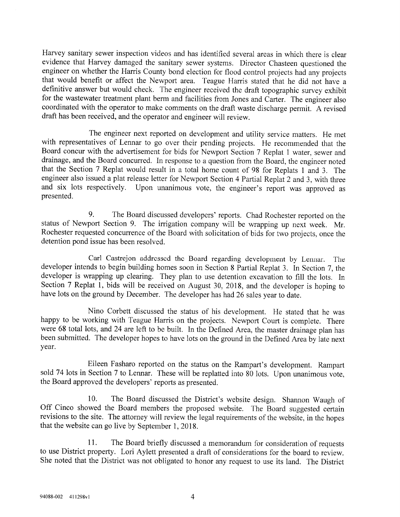Harvey sanitary sewer inspection videos and has identified several areas in which there is clear evidence that Harvey damaged the sanitary sewer systems. Director Chasteen questioned the engineer on whether the Harris Coun for the wastewater treatment plant berm and facilities from Jones and Carter. The engineer also coordinated with the operator to make comments on the draft waste discharge permit. A revised draft has been received, and the operator and engineer will review.

The engineer next reported on development and utility service matters. He met with representatives of Lennar to go over their pending projects. He recommended that the Board concur with the advertisement for bids for Newport Section 7 Replat 1 water, sewer and drainage, and the Board concurred. In response to a question from the Board, the engineer noted that the Section 7 Replat would result in a total home count of 98 for Replats 1 and 3. The engineer also issued a plat release letter for Newport Section 4 Partial Replat 2 and 3, with three and six lots respectively. Upon unanimous vote, the engineer's report was approved as presented.

9. The Board discussed developers' reports. Chad Rochester reported on the status of Newport Section 9. The irrigation company will be wrapping up next week. Mr. Rochester requested concurrence of the Board with solicitation of bids for two projects, once the detention pond issue has been resolved.

Carl Castrejon addressed the Board regarding development by Lennar. The developer intends to begin building homes soon in Section 8 Partial Replat 3. In Section 7, the developer is wrapping up clearing. They plan to use detention excavation to fill the lots. In Section 7 Replat 1, bids will be received on August 30, 2018, and the developer is hoping to have lots on the ground by December. The developer has had 26 sales year to date.

Nino Corbett discussed the status of his development. He stated that he was happy to be working with Teague Harris on the projects. Newport Court is complete. There were 68 total lots, and 24 are left to be built. In the Defined Area, the master drainage plan has been submitted. The developer hopes to have lots on the ground in the Defined Area by late next year.

Eileen Fasharo reported on the status on the Rampart's development. Rampart sold 74 lots in Section 7 to Lennar. These will be replatted into 80 lots. Upon unanimous vote, the Board approved the developers' reports as presented.

10. The Board discussed the District's website design. Shannon Waugh of Off Cinco showed the Board members the proposed website. The Board suggested certain revisions to the site. The attorney will review the legal requirements of the website, in the hopes that the website can go live by September 1, 2018.

11. The Board briefly discussed a memorandum for consideration of requests to use District property. Lori Aylett presented a draft of considerations for the board to review. She noted that the District was not obligated to honor any request to use its land. The District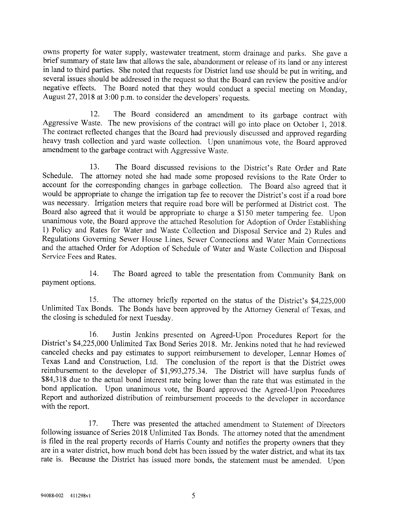owns property for water supply, wastewater treatment, storm drainage and parks. She gave a brief summary of state law that allows the sale, abandonment or release of its land or any interest in land to third parties. She n

12. The Board considered an amendment to its garbage contract with Aggressive Waste. The new provisions of the contract will go into place on October 1, 2018. The contract reflected changes that the Board had previously di

13. The Board discussed revisions to the District's Rate Order and Rate Schedule. The attorney noted she had made some proposed revisions to the Rate Order to account for the corresponding changes in garbage collection. The Board also agreed that it would be appropriate to change the irrigatio

14. 14. The Board agreed to table the presentation from Community Bank on payment options.

15. The attorney briefly reported on the status of the District's \$4,225,000 Unlimited Tax Bonds. The Bonds have been approved by the Attorney General of Texas, and the closing is scheduled for next Tuesday.

16. Justin Jenkins presented on Agreed-Upon Procedures Report for the District's \$4,225,000 Unlimited Tax Bond Series 2018. Mr. Jenkins noted that he had reviewed canceled checks and pay estimates to support reimbursement to developer, Lennar Homes of Texas Land and Construction, Ltd. The conclusion of the report is that the District owes reimbursement to the developer of \$1,993,275 Report and authorized distribution of reimbursement proceeds to the developer in accordance with the report.

17. There was presented the attached amendment to Statement of Directors following issuance of Series 2018 Unlimited Tax Bonds. The attorney noted that the amendment is filed in the real property records of Harris County a rate is. Because the District has issued more bonds, the statement must be amended. Upon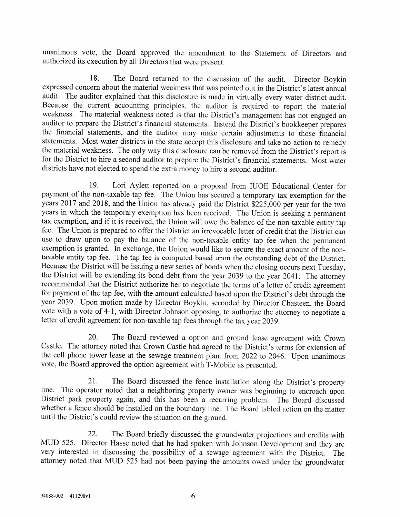unanimous vote, the Board approved the amendment to the Statement of Directors and authorized its execution by all Directors that were present.

18. The Board returned to the discussion of the audit. Director Boykin expressed concern about the material weakness that was pointed out in the District's latest annual audit. The auditor explained that this disclosure is made in virtually every water district audit. Because the current accounting principles, the auditor is required to report the material weakness. The material weakness noted is that the District's management has not engaged an auditor to prepare the District's financial statements. Instead the District's bookkeeper prepares the financial statements, and the auditor may make certain adjustments to those financial statements. Most water districts in the state accept this disclosure and take no action to remedy the material weakness. The only way this disclosure can be removed from the District's report is for the District to hire a second auditor to prepare the District's financial statements. Most water districts have not elected to spend the extra money to hire a second auditor.

19. Lori Aylett reported on a proposal from IUOE Educational Center for payment of the non-taxable tap fee. The Union has secured a temporary tax exemption for the years 2017 and 2018, and the Union has already paid the District \$225,000 per year for the two years in which the temporary exemption has been received. The Union is seeking a permanent tax exemption, and if it is received, the Union will owe the balance of the non-taxable entity tap fee. The Union is prepared to offer the District an irrevocable letter of credit that the District can use to draw upon to pay the balance of the non-taxable entity tap fee when the permanent exemption is granted. In exchange, the Union would like to secure the exact amount of the nontaxable entity tap fee. The tap fee is computed based upon the outstanding debt of the District. Because the District will be issuing a new series of bonds when the closing occurs next Tuesday, the District will be extending its bond debt from the year 2039 to the year 2041. The attorney recommended that the District authorize her to negotiate the terms of a letter of credit agreement for payment of the tap fee, with the amount calculated based upon the District's debt through the year 2039. Upon motion made by Director Boykin, seconded by Director Chasteen, the Board vote with a vote of 4-1, with Director Johnson opposing, to authorize the attorney to negotiate a letter of credit agreement for non-taxable tap fees through the tax year 2039.

20. The Board reviewed a option and ground lease agreement with Crown Castle. The attorney noted that Crown Castle had agreed to the District's terms for extension of the cell phone tower lease at the sewage treatment plant from 2022 to 2046. Upon unanimous vote, the Board approved the option agreement with T-Mobile as presented.

21. The Board discussed the fence installation along the District's property line. The operator noted that a neighboring property owner was beginning to encroach upon District park property again, and this has been a recurring problem. The Board discussed whether a fence should be installed on the boundary line. The Board tabled action on the matter until the District's could review the situation on the ground.

22. The Board briefly discussed the groundwater projections and credits with MUD 525. Director Hasse noted that he had spoken with Johnson Development and they are very interested in discussing the possibility of a sewage agreement with the District. The attorney noted that MUD 525 had not been paying the amounts owed under the groundwater